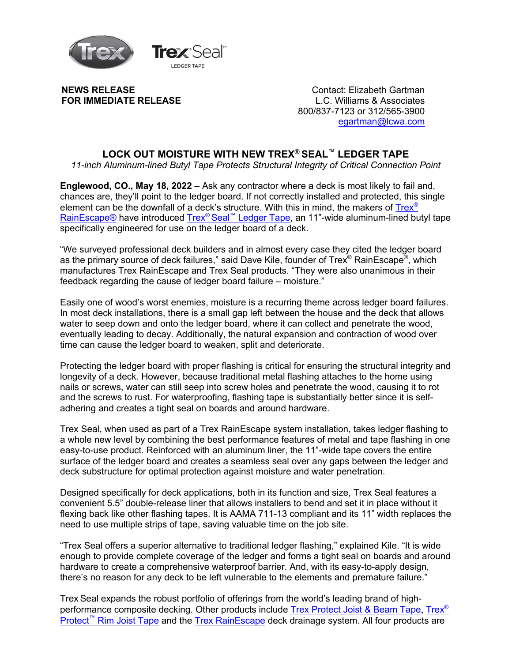

**NEWS RELEASE FOR IMMEDIATE RELEASE**

Contact: Elizabeth Gartman L.C. Williams & Associates 800/837-7123 or 312/565-3900 egartman@lcwa.com

## **LOCK OUT MOISTURE WITH NEW TREX® SEAL™ LEDGER TAPE**

*11-inch Aluminum-lined Butyl Tape Protects Structural Integrity of Critical Connection Point*

**Englewood, CO., May 18, 2022** – Ask any contractor where a deck is most likely to fail and, chances are, they'll point to the ledger board. If not correctly installed and protected, this single element can be the downfall of a deck's structure. With this in mind, the makers of Trex® RainEscape® have introduced Trex® Seal™ Ledger Tape, an 11"-wide aluminum-lined butyl tape specifically engineered for use on the ledger board of a deck.

"We surveyed professional deck builders and in almost every case they cited the ledger board as the primary source of deck failures," said Dave Kile, founder of Trex<sup>®</sup> RainEscape<sup>®</sup>, which manufactures Trex RainEscape and Trex Seal products. "They were also unanimous in their feedback regarding the cause of ledger board failure – moisture."

Easily one of wood's worst enemies, moisture is a recurring theme across ledger board failures. In most deck installations, there is a small gap left between the house and the deck that allows water to seep down and onto the ledger board, where it can collect and penetrate the wood, eventually leading to decay. Additionally, the natural expansion and contraction of wood over time can cause the ledger board to weaken, split and deteriorate.

Protecting the ledger board with proper flashing is critical for ensuring the structural integrity and longevity of a deck. However, because traditional metal flashing attaches to the home using nails or screws, water can still seep into screw holes and penetrate the wood, causing it to rot and the screws to rust. For waterproofing, flashing tape is substantially better since it is selfadhering and creates a tight seal on boards and around hardware.

Trex Seal, when used as part of a Trex RainEscape system installation, takes ledger flashing to a whole new level by combining the best performance features of metal and tape flashing in one easy-to-use product. Reinforced with an aluminum liner, the 11"-wide tape covers the entire surface of the ledger board and creates a seamless seal over any gaps between the ledger and deck substructure for optimal protection against moisture and water penetration.

Designed specifically for deck applications, both in its function and size, Trex Seal features a convenient 5.5" double-release liner that allows installers to bend and set it in place without it flexing back like other flashing tapes. It is AAMA 711-13 compliant and its 11" width replaces the need to use multiple strips of tape, saving valuable time on the job site.

"Trex Seal offers a superior alternative to traditional ledger flashing," explained Kile. "It is wide enough to provide complete coverage of the ledger and forms a tight seal on boards and around hardware to create a comprehensive waterproof barrier. And, with its easy-to-apply design, there's no reason for any deck to be left vulnerable to the elements and premature failure."

Trex Seal expands the robust portfolio of offerings from the world's leading brand of highperformance composite decking. Other products include Trex Protect Joist & Beam Tape, Trex<sup>®</sup> Protect<sup>™</sup> Rim Joist Tape and the Trex RainEscape deck drainage system. All four products are